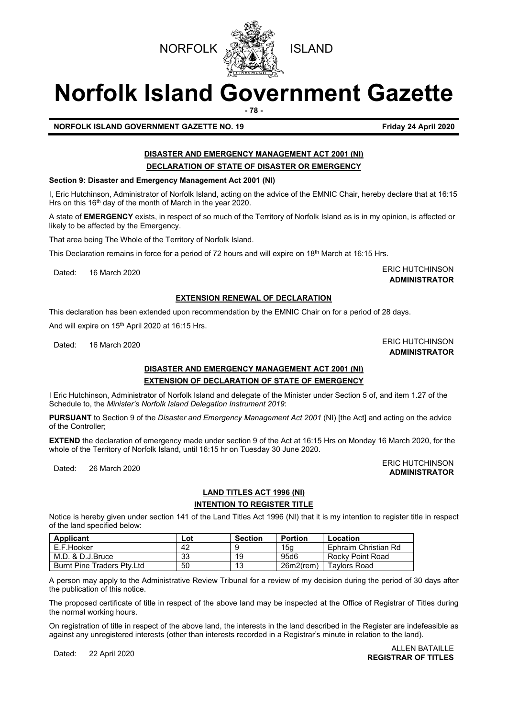**NORFOLK WAS THE ISLAND** 

# **Norfolk Island Government Gazette**

**- 78 -**

**NORFOLK ISLAND GOVERNMENT GAZETTE NO. 19 Friday 24 April 2020**

#### **DISASTER AND EMERGENCY MANAGEMENT ACT 2001 (NI) DECLARATION OF STATE OF DISASTER OR EMERGENCY**

#### **Section 9: Disaster and Emergency Management Act 2001 (NI)**

I, Eric Hutchinson, Administrator of Norfolk Island, acting on the advice of the EMNIC Chair, hereby declare that at 16:15 Hrs on this 16<sup>th</sup> day of the month of March in the year 2020.

A state of **EMERGENCY** exists, in respect of so much of the Territory of Norfolk Island as is in my opinion, is affected or likely to be affected by the Emergency.

That area being The Whole of the Territory of Norfolk Island.

This Declaration remains in force for a period of 72 hours and will expire on 18<sup>th</sup> March at 16:15 Hrs.

Dated: 16 March 2020 **ERIC HUTCHINSON** 

### **ADMINISTRATOR**

#### **EXTENSION RENEWAL OF DECLARATION**

This declaration has been extended upon recommendation by the EMNIC Chair on for a period of 28 days.

And will expire on 15<sup>th</sup> April 2020 at 16:15 Hrs.

## **DISASTER AND EMERGENCY MANAGEMENT ACT 2001 (NI)**

**EXTENSION OF DECLARATION OF STATE OF EMERGENCY** I Eric Hutchinson, Administrator of Norfolk Island and delegate of the Minister under Section 5 of, and item 1.27 of the Schedule to, the *Minister's Norfolk Island Delegation Instrument 2019*:

**PURSUANT** to Section 9 of the *Disaster and Emergency Management Act 2001* (NI) [the Act] and acting on the advice of the Controller;

**EXTEND** the declaration of emergency made under section 9 of the Act at 16:15 Hrs on Monday 16 March 2020, for the whole of the Territory of Norfolk Island, until 16:15 hr on Tuesday 30 June 2020.

Dated: 26 March 2020<br>Dated: 26 March 2020 **ADMINISTRATOR**

### **LAND TITLES ACT 1996 (NI)**

#### **INTENTION TO REGISTER TITLE**

Notice is hereby given under section 141 of the Land Titles Act 1996 (NI) that it is my intention to register title in respect of the land specified below:

| Applicant                         | Lot | <b>Section</b> | <b>Portion</b> | Location             |
|-----------------------------------|-----|----------------|----------------|----------------------|
| E.F.Hooker                        | 42  |                | 15a            | Ephraim Christian Rd |
| M.D. & D.J.Bruce                  | 33  | 19             | 95d6           | Rocky Point Road     |
| <b>Burnt Pine Traders Ptv.Ltd</b> | 50  | 13             | $26m2$ (rem)   | <b>Tavlors Road</b>  |

A person may apply to the Administrative Review Tribunal for a review of my decision during the period of 30 days after the publication of this notice.

The proposed certificate of title in respect of the above land may be inspected at the Office of Registrar of Titles during the normal working hours.

On registration of title in respect of the above land, the interests in the land described in the Register are indefeasible as against any unregistered interests (other than interests recorded in a Registrar's minute in relation to the land).

#### Dated: 22 April 2020 ALLEN BATAILLE **REGISTRAR OF TITLES**

Dated: 16 March 2020 **ERIC HUTCHINSON ADMINISTRATOR**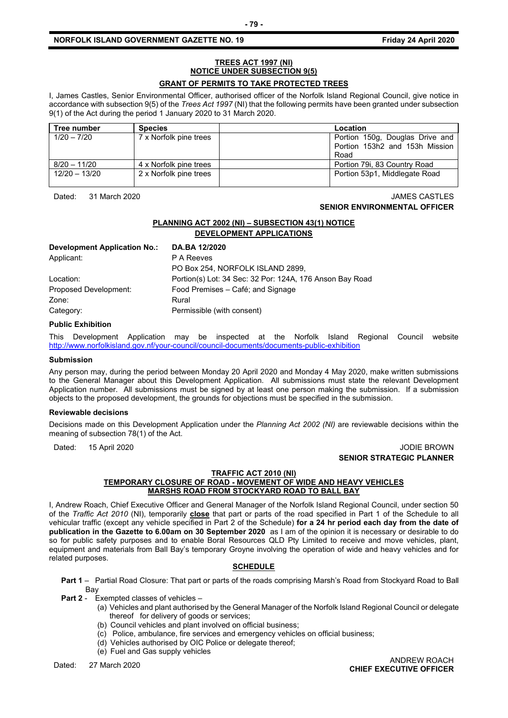#### **NORFOLK ISLAND GOVERNMENT GAZETTE NO. 19 Friday 24 April 2020**

#### **TREES ACT 1997 (NI) NOTICE UNDER SUBSECTION 9(5) GRANT OF PERMITS TO TAKE PROTECTED TREES**

I, James Castles, Senior Environmental Officer, authorised officer of the Norfolk Island Regional Council, give notice in accordance with subsection 9(5) of the *Trees Act 1997* (NI) that the following permits have been granted under subsection 9(1) of the Act during the period 1 January 2020 to 31 March 2020.

| Tree number   | <b>Species</b>         | Location                        |
|---------------|------------------------|---------------------------------|
| $1/20 - 7/20$ | 7 x Norfolk pine trees | Portion 150g, Douglas Drive and |
|               |                        | Portion 153h2 and 153h Mission  |
|               |                        | Road                            |
| 8/20 - 11/20  | 4 x Norfolk pine trees | Portion 79i, 83 Country Road    |
| 12/20 - 13/20 | 2 x Norfolk pine trees | Portion 53p1, Middlegate Road   |

Dated: 31 March 2020 JAMES CASTLES

#### **SENIOR ENVIRONMENTAL OFFICER**

#### **PLANNING ACT 2002 (NI) – SUBSECTION 43(1) NOTICE DEVELOPMENT APPLICATIONS**

| Development Application No.: | DA.BA 12/2020                                            |
|------------------------------|----------------------------------------------------------|
| Applicant:                   | P A Reeves                                               |
|                              | PO Box 254, NORFOLK ISLAND 2899,                         |
| Location:                    | Portion(s) Lot: 34 Sec: 32 Por: 124A, 176 Anson Bay Road |
| Proposed Development:        | Food Premises - Café; and Signage                        |
| Zone:                        | Rural                                                    |
| Category:                    | Permissible (with consent)                               |

#### **Public Exhibition**

This Development Application may be inspected at the Norfolk Island Regional Council website <http://www.norfolkisland.gov.nf/your-council/council-documents/documents-public-exhibition>

#### **Submission**

Any person may, during the period between Monday 20 April 2020 and Monday 4 May 2020, make written submissions to the General Manager about this Development Application. All submissions must state the relevant Development Application number. All submissions must be signed by at least one person making the submission. If a submission objects to the proposed development, the grounds for objections must be specified in the submission.

#### **Reviewable decisions**

Decisions made on this Development Application under the *Planning Act 2002 (NI)* are reviewable decisions within the meaning of subsection 78(1) of the Act.

#### Dated: 15 April 2020 **Dated: 15 April 2020 SENIOR STRATEGIC PLANNER**

#### **TRAFFIC ACT 2010 (NI)**

#### **TEMPORARY CLOSURE OF ROAD - MOVEMENT OF WIDE AND HEAVY VEHICLES MARSHS ROAD FROM STOCKYARD ROAD TO BALL BAY**

I, Andrew Roach, Chief Executive Officer and General Manager of the Norfolk Island Regional Council, under section 50 of the *Traffic Act 2010* (NI), temporarily **close** that part or parts of the road specified in Part 1 of the Schedule to all vehicular traffic (except any vehicle specified in Part 2 of the Schedule) **for a 24 hr period each day from the date of publication in the Gazette to 6.00am on 30 September 2020** as I am of the opinion it is necessary or desirable to do so for public safety purposes and to enable Boral Resources QLD Pty Limited to receive and move vehicles, plant, equipment and materials from Ball Bay's temporary Groyne involving the operation of wide and heavy vehicles and for related purposes.

#### **SCHEDULE**

**Part 1** – Partial Road Closure: That part or parts of the roads comprising Marsh's Road from Stockyard Road to Ball Bay

**Part 2** - Exempted classes of vehicles –

- (a) Vehicles and plant authorised by the General Manager of the Norfolk Island Regional Council or delegate thereof for delivery of goods or services;
- (b) Council vehicles and plant involved on official business;
- (c) Police, ambulance, fire services and emergency vehicles on official business;
- (d) Vehicles authorised by OIC Police or delegate thereof;
- (e) Fuel and Gas supply vehicles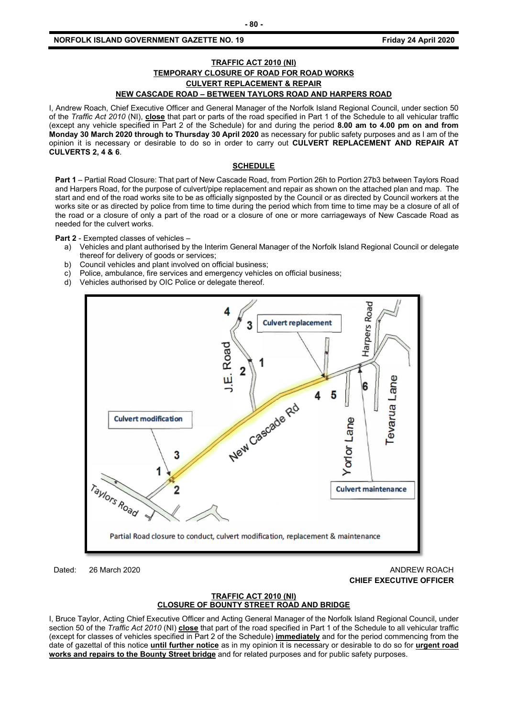#### **NORFOLK ISLAND GOVERNMENT GAZETTE NO. 19 Friday 24 April 2020**

#### **TRAFFIC ACT 2010 (NI) TEMPORARY CLOSURE OF ROAD FOR ROAD WORKS CULVERT REPLACEMENT & REPAIR NEW CASCADE ROAD – BETWEEN TAYLORS ROAD AND HARPERS ROAD**

I, Andrew Roach, Chief Executive Officer and General Manager of the Norfolk Island Regional Council, under section 50 of the *Traffic Act 2010* (NI), **close** that part or parts of the road specified in Part 1 of the Schedule to all vehicular traffic (except any vehicle specified in Part 2 of the Schedule) for and during the period **8.00 am to 4.00 pm on and from Monday 30 March 2020 through to Thursday 30 April 2020** as necessary for public safety purposes and as I am of the opinion it is necessary or desirable to do so in order to carry out **CULVERT REPLACEMENT AND REPAIR AT CULVERTS 2, 4 & 6**.

#### **SCHEDULE**

**Part 1** – Partial Road Closure: That part of New Cascade Road, from Portion 26h to Portion 27b3 between Taylors Road and Harpers Road, for the purpose of culvert/pipe replacement and repair as shown on the attached plan and map. The start and end of the road works site to be as officially signposted by the Council or as directed by Council workers at the works site or as directed by police from time to time during the period which from time to time may be a closure of all of the road or a closure of only a part of the road or a closure of one or more carriageways of New Cascade Road as needed for the culvert works.

**Part 2** - Exempted classes of vehicles –

- a) Vehicles and plant authorised by the Interim General Manager of the Norfolk Island Regional Council or delegate thereof for delivery of goods or services;
- b) Council vehicles and plant involved on official business;
- c) Police, ambulance, fire services and emergency vehicles on official business;
- d) Vehicles authorised by OIC Police or delegate thereof.



Dated: 26 March 2020 **ANDREW ROACH** 

### **CHIEF EXECUTIVE OFFICER**

#### **TRAFFIC ACT 2010 (NI) CLOSURE OF BOUNTY STREET ROAD AND BRIDGE**

I, Bruce Taylor, Acting Chief Executive Officer and Acting General Manager of the Norfolk Island Regional Council, under section 50 of the *Traffic Act 2010* (NI) **close** that part of the road specified in Part 1 of the Schedule to all vehicular traffic (except for classes of vehicles specified in Part 2 of the Schedule) **immediately** and for the period commencing from the date of gazettal of this notice **until further notice** as in my opinion it is necessary or desirable to do so for **urgent road works and repairs to the Bounty Street bridge** and for related purposes and for public safety purposes.